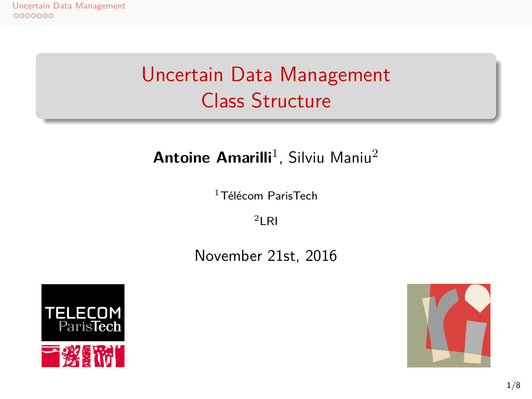## Uncertain Data Management Class Structure

## **Antoine Amarilli**<sup>1</sup>, Silviu Maniu<sup>2</sup>

 $1$ Télécom ParisTech  $2$ LRI

November 21st, 2016



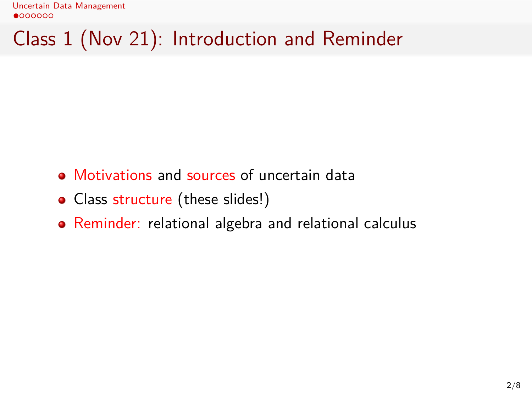Uncertain Data Management<br> $\bullet$ 000000

Class 1 (Nov 21): Introduction and Reminder

- Motivations and sources of uncertain data
- Class structure (these slides!)
- Reminder: relational algebra and relational calculus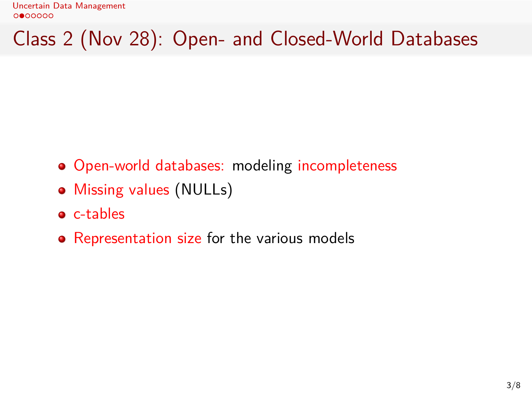Class 2 (Nov 28): Open- and Closed-World Databases

- Open-world databases: modeling incompleteness
- Missing values (NULLs)
- c-tables
- Representation size for the various models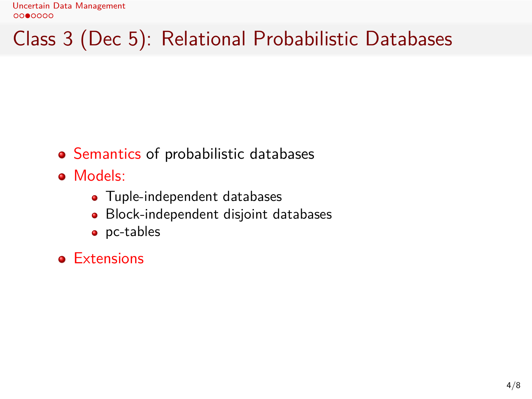Class 3 (Dec 5): Relational Probabilistic Databases

- Semantics of probabilistic databases
- Models:
	- Tuple-independent databases
	- Block-independent disjoint databases
	- pc-tables
- **•** Extensions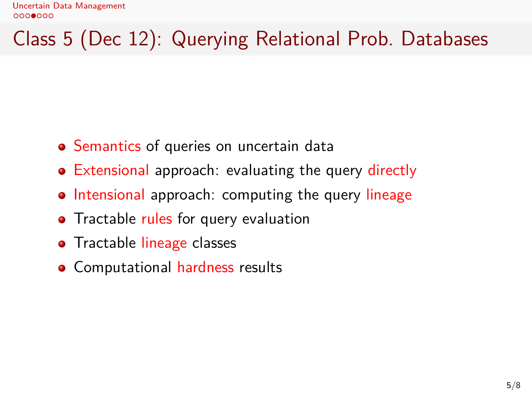Class 5 (Dec 12): Querying Relational Prob. Databases

- Semantics of queries on uncertain data
- Extensional approach: evaluating the query directly
- Intensional approach: computing the query lineage
- Tractable rules for query evaluation
- **•** Tractable lineage classes
- **•** Computational hardness results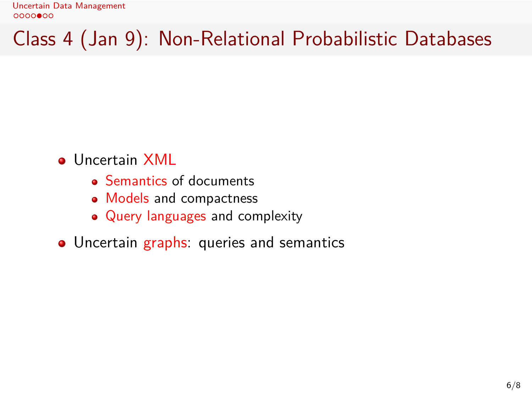Class 4 (Jan 9): Non-Relational Probabilistic Databases

- **·** Uncertain XML
	- Semantics of documents
	- Models and compactness
	- Query languages and complexity
- Uncertain graphs: queries and semantics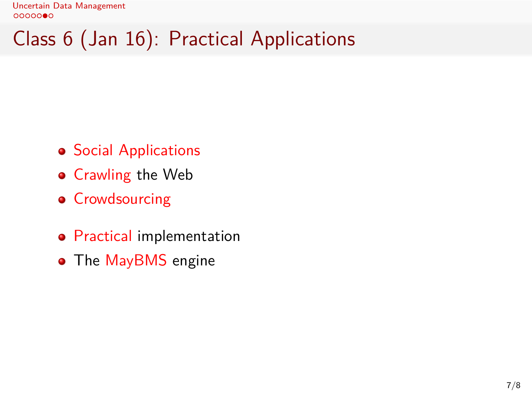Class 6 (Jan 16): Practical Applications

- **•** Social Applications
- **•** Crawling the Web
- **•** Crowdsourcing
- **Practical implementation**
- The MayBMS engine